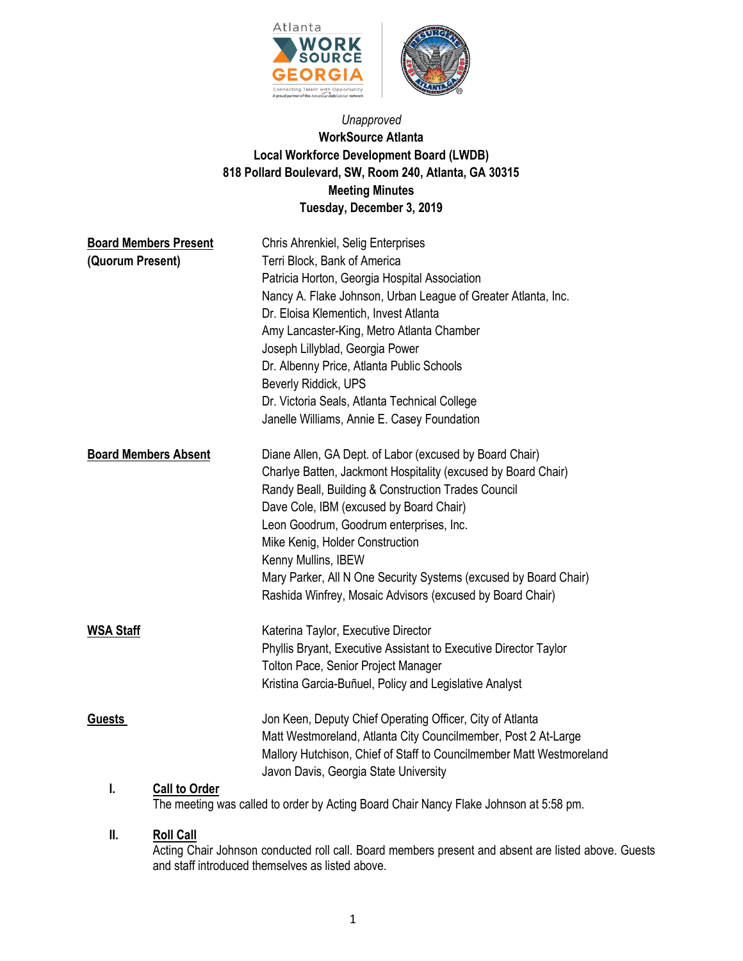

# *Unapproved* **WorkSource Atlanta Local Workforce Development Board (LWDB) 818 Pollard Boulevard, SW, Room 240, Atlanta, GA 30315 Meeting Minutes Tuesday, December 3, 2019**

| <b>Board Members Present</b><br>(Quorum Present) | Chris Ahrenkiel, Selig Enterprises<br>Terri Block, Bank of America<br>Patricia Horton, Georgia Hospital Association<br>Nancy A. Flake Johnson, Urban League of Greater Atlanta, Inc.<br>Dr. Eloisa Klementich, Invest Atlanta<br>Amy Lancaster-King, Metro Atlanta Chamber<br>Joseph Lillyblad, Georgia Power<br>Dr. Albenny Price, Atlanta Public Schools<br>Beverly Riddick, UPS<br>Dr. Victoria Seals, Atlanta Technical College<br>Janelle Williams, Annie E. Casey Foundation |
|--------------------------------------------------|------------------------------------------------------------------------------------------------------------------------------------------------------------------------------------------------------------------------------------------------------------------------------------------------------------------------------------------------------------------------------------------------------------------------------------------------------------------------------------|
| <b>Board Members Absent</b>                      | Diane Allen, GA Dept. of Labor (excused by Board Chair)<br>Charlye Batten, Jackmont Hospitality (excused by Board Chair)<br>Randy Beall, Building & Construction Trades Council<br>Dave Cole, IBM (excused by Board Chair)<br>Leon Goodrum, Goodrum enterprises, Inc.<br>Mike Kenig, Holder Construction<br>Kenny Mullins, IBEW<br>Mary Parker, All N One Security Systems (excused by Board Chair)<br>Rashida Winfrey, Mosaic Advisors (excused by Board Chair)                   |
| <b>WSA Staff</b>                                 | Katerina Taylor, Executive Director<br>Phyllis Bryant, Executive Assistant to Executive Director Taylor<br><b>Tolton Pace, Senior Project Manager</b><br>Kristina Garcia-Buñuel, Policy and Legislative Analyst                                                                                                                                                                                                                                                                    |
| <b>Guests</b><br>I.<br><b>Call to Order</b>      | Jon Keen, Deputy Chief Operating Officer, City of Atlanta<br>Matt Westmoreland, Atlanta City Councilmember, Post 2 At-Large<br>Mallory Hutchison, Chief of Staff to Councilmember Matt Westmoreland<br>Javon Davis, Georgia State University                                                                                                                                                                                                                                       |
|                                                  |                                                                                                                                                                                                                                                                                                                                                                                                                                                                                    |

The meeting was called to order by Acting Board Chair Nancy Flake Johnson at 5:58 pm.

# **II. Roll Call**

Acting Chair Johnson conducted roll call. Board members present and absent are listed above. Guests and staff introduced themselves as listed above.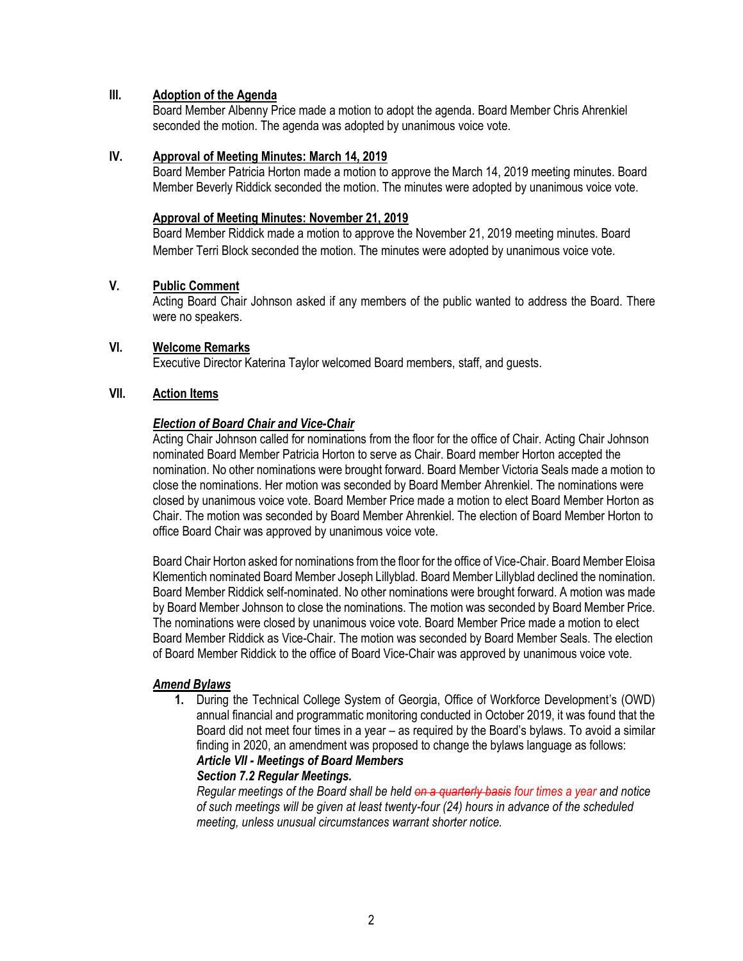# **III. Adoption of the Agenda**

Board Member Albenny Price made a motion to adopt the agenda. Board Member Chris Ahrenkiel seconded the motion. The agenda was adopted by unanimous voice vote.

# **IV. Approval of Meeting Minutes: March 14, 2019**

Board Member Patricia Horton made a motion to approve the March 14, 2019 meeting minutes. Board Member Beverly Riddick seconded the motion. The minutes were adopted by unanimous voice vote.

## **Approval of Meeting Minutes: November 21, 2019**

Board Member Riddick made a motion to approve the November 21, 2019 meeting minutes. Board Member Terri Block seconded the motion. The minutes were adopted by unanimous voice vote.

# **V. Public Comment**

Acting Board Chair Johnson asked if any members of the public wanted to address the Board. There were no speakers.

# **VI. Welcome Remarks**

Executive Director Katerina Taylor welcomed Board members, staff, and guests.

# **VII. Action Items**

# *Election of Board Chair and Vice-Chair*

Acting Chair Johnson called for nominations from the floor for the office of Chair. Acting Chair Johnson nominated Board Member Patricia Horton to serve as Chair. Board member Horton accepted the nomination. No other nominations were brought forward. Board Member Victoria Seals made a motion to close the nominations. Her motion was seconded by Board Member Ahrenkiel. The nominations were closed by unanimous voice vote. Board Member Price made a motion to elect Board Member Horton as Chair. The motion was seconded by Board Member Ahrenkiel. The election of Board Member Horton to office Board Chair was approved by unanimous voice vote.

Board Chair Horton asked for nominations from the floor for the office of Vice-Chair. Board Member Eloisa Klementich nominated Board Member Joseph Lillyblad. Board Member Lillyblad declined the nomination. Board Member Riddick self-nominated. No other nominations were brought forward. A motion was made by Board Member Johnson to close the nominations. The motion was seconded by Board Member Price. The nominations were closed by unanimous voice vote. Board Member Price made a motion to elect Board Member Riddick as Vice-Chair. The motion was seconded by Board Member Seals. The election of Board Member Riddick to the office of Board Vice-Chair was approved by unanimous voice vote.

# *Amend Bylaws*

**1.** During the Technical College System of Georgia, Office of Workforce Development's (OWD) annual financial and programmatic monitoring conducted in October 2019, it was found that the Board did not meet four times in a year – as required by the Board's bylaws. To avoid a similar finding in 2020, an amendment was proposed to change the bylaws language as follows:

# *Article VII - Meetings of Board Members*

# *Section 7.2 Regular Meetings.*

*Regular meetings of the Board shall be held on a quarterly basis four times a year and notice of such meetings will be given at least twenty-four (24) hours in advance of the scheduled meeting, unless unusual circumstances warrant shorter notice.*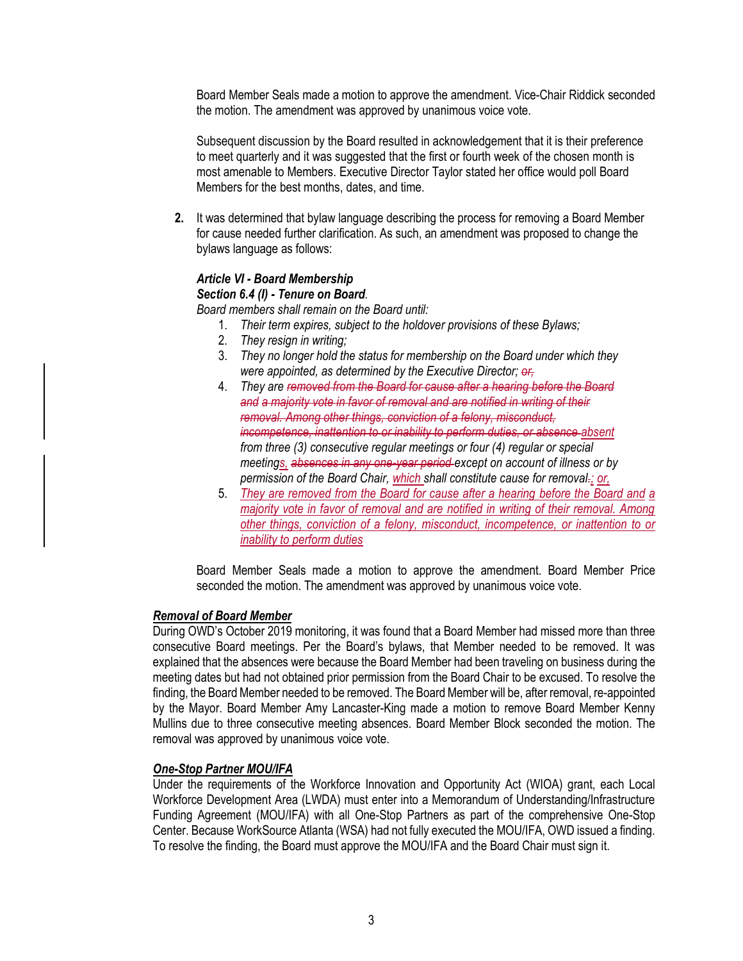Board Member Seals made a motion to approve the amendment. Vice-Chair Riddick seconded the motion. The amendment was approved by unanimous voice vote.

Subsequent discussion by the Board resulted in acknowledgement that it is their preference to meet quarterly and it was suggested that the first or fourth week of the chosen month is most amenable to Members. Executive Director Taylor stated her office would poll Board Members for the best months, dates, and time.

**2.** It was determined that bylaw language describing the process for removing a Board Member for cause needed further clarification. As such, an amendment was proposed to change the bylaws language as follows:

# *Article VI - Board Membership*

#### *Section 6.4 (I) - Tenure on Board.*

*Board members shall remain on the Board until:*

- 1. *Their term expires, subject to the holdover provisions of these Bylaws;*
- 2. *They resign in writing;*
- 3. *They no longer hold the status for membership on the Board under which they were appointed, as determined by the Executive Director; or,*
- 4. *They are removed from the Board for cause after a hearing before the Board and a majority vote in favor of removal and are notified in writing of their removal. Among other things, conviction of a felony, misconduct, incompetence, inattention to or inability to perform duties, or absence absent from three (3) consecutive regular meetings or four (4) regular or special meetings, absences in any one-year period except on account of illness or by permission of the Board Chair, which shall constitute cause for removal.; or,*
- 5. *They are removed from the Board for cause after a hearing before the Board and a majority vote in favor of removal and are notified in writing of their removal. Among other things, conviction of a felony, misconduct, incompetence, or inattention to or inability to perform duties*

Board Member Seals made a motion to approve the amendment. Board Member Price seconded the motion. The amendment was approved by unanimous voice vote.

# *Removal of Board Member*

During OWD's October 2019 monitoring, it was found that a Board Member had missed more than three consecutive Board meetings. Per the Board's bylaws, that Member needed to be removed. It was explained that the absences were because the Board Member had been traveling on business during the meeting dates but had not obtained prior permission from the Board Chair to be excused. To resolve the finding, the Board Member needed to be removed. The Board Member will be, after removal, re-appointed by the Mayor. Board Member Amy Lancaster-King made a motion to remove Board Member Kenny Mullins due to three consecutive meeting absences. Board Member Block seconded the motion. The removal was approved by unanimous voice vote.

# *One-Stop Partner MOU/IFA*

Under the requirements of the Workforce Innovation and Opportunity Act (WIOA) grant, each Local Workforce Development Area (LWDA) must enter into a Memorandum of Understanding/Infrastructure Funding Agreement (MOU/IFA) with all One-Stop Partners as part of the comprehensive One-Stop Center. Because WorkSource Atlanta (WSA) had not fully executed the MOU/IFA, OWD issued a finding. To resolve the finding, the Board must approve the MOU/IFA and the Board Chair must sign it.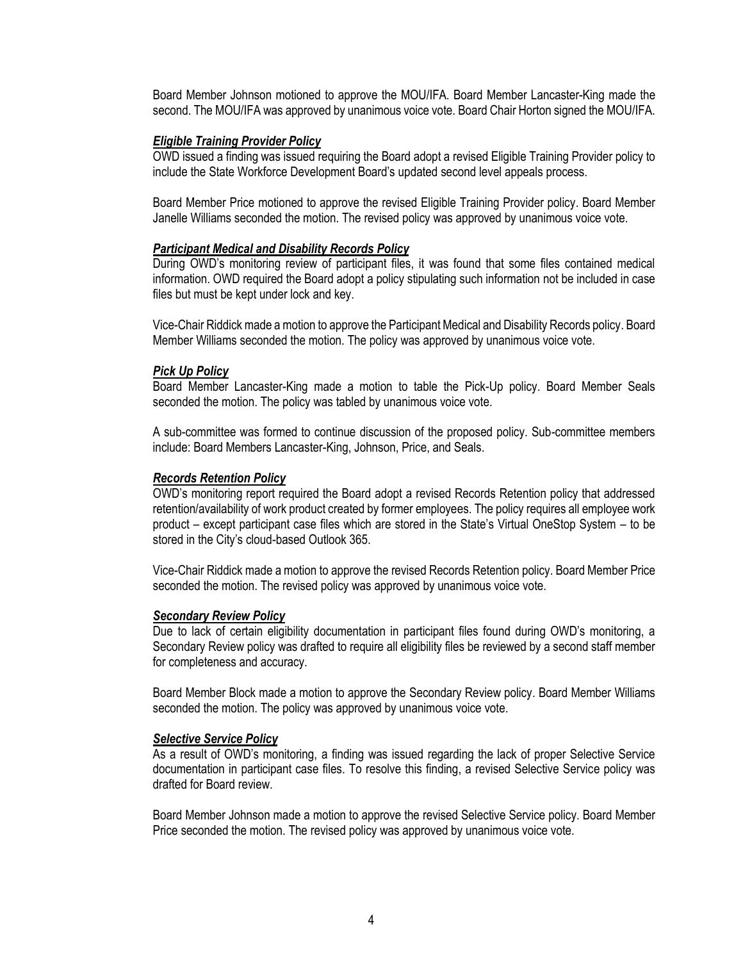Board Member Johnson motioned to approve the MOU/IFA. Board Member Lancaster-King made the second. The MOU/IFA was approved by unanimous voice vote. Board Chair Horton signed the MOU/IFA.

#### *Eligible Training Provider Policy*

OWD issued a finding was issued requiring the Board adopt a revised Eligible Training Provider policy to include the State Workforce Development Board's updated second level appeals process.

Board Member Price motioned to approve the revised Eligible Training Provider policy. Board Member Janelle Williams seconded the motion. The revised policy was approved by unanimous voice vote.

#### *Participant Medical and Disability Records Policy*

During OWD's monitoring review of participant files, it was found that some files contained medical information. OWD required the Board adopt a policy stipulating such information not be included in case files but must be kept under lock and key.

Vice-Chair Riddick made a motion to approve the Participant Medical and Disability Records policy. Board Member Williams seconded the motion. The policy was approved by unanimous voice vote.

#### *Pick Up Policy*

Board Member Lancaster-King made a motion to table the Pick-Up policy. Board Member Seals seconded the motion. The policy was tabled by unanimous voice vote.

A sub-committee was formed to continue discussion of the proposed policy. Sub-committee members include: Board Members Lancaster-King, Johnson, Price, and Seals.

#### *Records Retention Policy*

OWD's monitoring report required the Board adopt a revised Records Retention policy that addressed retention/availability of work product created by former employees. The policy requires all employee work product – except participant case files which are stored in the State's Virtual OneStop System – to be stored in the City's cloud-based Outlook 365.

Vice-Chair Riddick made a motion to approve the revised Records Retention policy. Board Member Price seconded the motion. The revised policy was approved by unanimous voice vote.

#### *Secondary Review Policy*

Due to lack of certain eligibility documentation in participant files found during OWD's monitoring, a Secondary Review policy was drafted to require all eligibility files be reviewed by a second staff member for completeness and accuracy.

Board Member Block made a motion to approve the Secondary Review policy. Board Member Williams seconded the motion. The policy was approved by unanimous voice vote.

#### *Selective Service Policy*

As a result of OWD's monitoring, a finding was issued regarding the lack of proper Selective Service documentation in participant case files. To resolve this finding, a revised Selective Service policy was drafted for Board review.

Board Member Johnson made a motion to approve the revised Selective Service policy. Board Member Price seconded the motion. The revised policy was approved by unanimous voice vote.